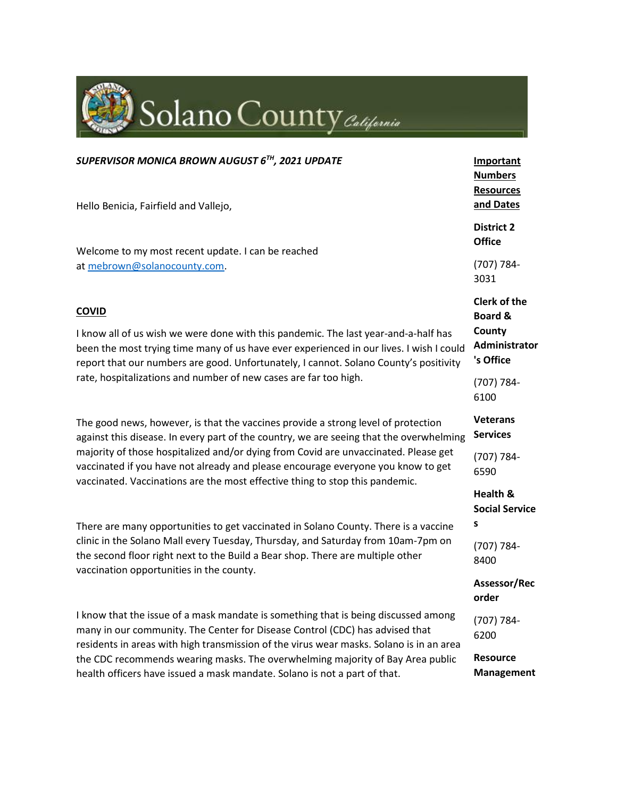| Solano County California                                                                                                                                                                                                                                                                                                                                                                                                                |                                                                                   |
|-----------------------------------------------------------------------------------------------------------------------------------------------------------------------------------------------------------------------------------------------------------------------------------------------------------------------------------------------------------------------------------------------------------------------------------------|-----------------------------------------------------------------------------------|
| SUPERVISOR MONICA BROWN AUGUST 6TH, 2021 UPDATE<br>Hello Benicia, Fairfield and Vallejo,                                                                                                                                                                                                                                                                                                                                                | <b>Important</b><br><b>Numbers</b><br><b>Resources</b><br>and Dates               |
| Welcome to my most recent update. I can be reached                                                                                                                                                                                                                                                                                                                                                                                      | <b>District 2</b><br><b>Office</b>                                                |
| at mebrown@solanocounty.com.                                                                                                                                                                                                                                                                                                                                                                                                            | (707) 784-<br>3031                                                                |
| <b>COVID</b><br>I know all of us wish we were done with this pandemic. The last year-and-a-half has<br>been the most trying time many of us have ever experienced in our lives. I wish I could<br>report that our numbers are good. Unfortunately, I cannot. Solano County's positivity<br>rate, hospitalizations and number of new cases are far too high.                                                                             | <b>Clerk of the</b><br><b>Board &amp;</b><br>County<br>Administrator<br>'s Office |
|                                                                                                                                                                                                                                                                                                                                                                                                                                         | (707) 784-<br>6100                                                                |
| The good news, however, is that the vaccines provide a strong level of protection<br>against this disease. In every part of the country, we are seeing that the overwhelming<br>majority of those hospitalized and/or dying from Covid are unvaccinated. Please get<br>vaccinated if you have not already and please encourage everyone you know to get<br>vaccinated. Vaccinations are the most effective thing to stop this pandemic. | <b>Veterans</b><br><b>Services</b>                                                |
|                                                                                                                                                                                                                                                                                                                                                                                                                                         | (707) 784-<br>6590                                                                |
|                                                                                                                                                                                                                                                                                                                                                                                                                                         | Health &<br><b>Social Service</b><br>s                                            |
| There are many opportunities to get vaccinated in Solano County. There is a vaccine<br>clinic in the Solano Mall every Tuesday, Thursday, and Saturday from 10am-7pm on<br>the second floor right next to the Build a Bear shop. There are multiple other<br>vaccination opportunities in the county.                                                                                                                                   | (707) 784-<br>8400                                                                |
|                                                                                                                                                                                                                                                                                                                                                                                                                                         | Assessor/Rec<br>order                                                             |
| I know that the issue of a mask mandate is something that is being discussed among<br>many in our community. The Center for Disease Control (CDC) has advised that<br>residents in areas with high transmission of the virus wear masks. Solano is in an area<br>the CDC recommends wearing masks. The overwhelming majority of Bay Area public<br>health officers have issued a mask mandate. Solano is not a part of that.            | (707) 784-<br>6200                                                                |
|                                                                                                                                                                                                                                                                                                                                                                                                                                         | <b>Resource</b><br><b>Management</b>                                              |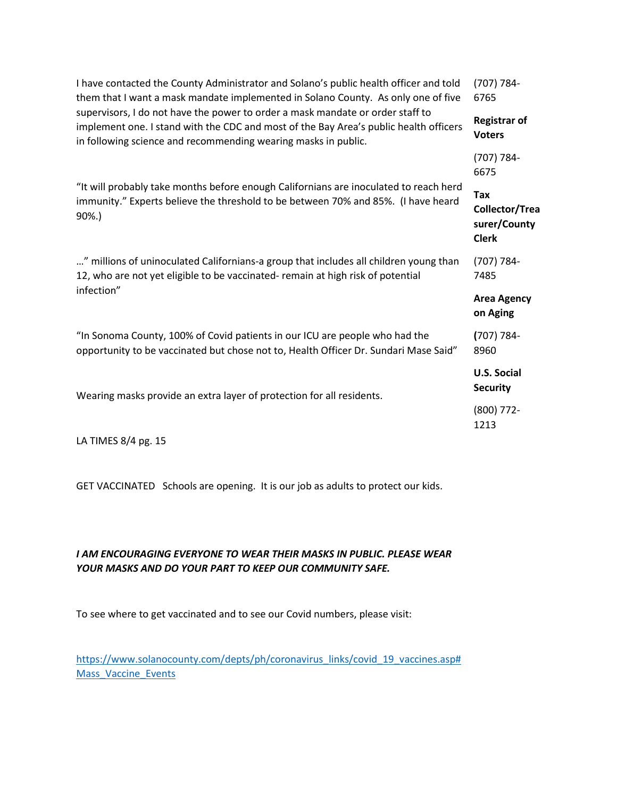| I have contacted the County Administrator and Solano's public health officer and told<br>them that I want a mask mandate implemented in Solano County. As only one of five<br>supervisors, I do not have the power to order a mask mandate or order staff to<br>implement one. I stand with the CDC and most of the Bay Area's public health officers<br>in following science and recommending wearing masks in public. | (707) 784-<br>6765                                           |
|-------------------------------------------------------------------------------------------------------------------------------------------------------------------------------------------------------------------------------------------------------------------------------------------------------------------------------------------------------------------------------------------------------------------------|--------------------------------------------------------------|
|                                                                                                                                                                                                                                                                                                                                                                                                                         | <b>Registrar of</b><br><b>Voters</b>                         |
|                                                                                                                                                                                                                                                                                                                                                                                                                         | (707) 784-<br>6675                                           |
| "It will probably take months before enough Californians are inoculated to reach herd<br>immunity." Experts believe the threshold to be between 70% and 85%. (I have heard<br>90%.)                                                                                                                                                                                                                                     | <b>Tax</b><br>Collector/Trea<br>surer/County<br><b>Clerk</b> |
| " millions of uninoculated Californians-a group that includes all children young than<br>12, who are not yet eligible to be vaccinated- remain at high risk of potential                                                                                                                                                                                                                                                | (707) 784-<br>7485                                           |
| infection"                                                                                                                                                                                                                                                                                                                                                                                                              | <b>Area Agency</b><br>on Aging                               |
| "In Sonoma County, 100% of Covid patients in our ICU are people who had the<br>opportunity to be vaccinated but chose not to, Health Officer Dr. Sundari Mase Said"                                                                                                                                                                                                                                                     | $(707) 784 -$<br>8960                                        |
| Wearing masks provide an extra layer of protection for all residents.                                                                                                                                                                                                                                                                                                                                                   | <b>U.S. Social</b><br><b>Security</b>                        |
|                                                                                                                                                                                                                                                                                                                                                                                                                         | $(800)$ 772-<br>1213                                         |
| $\mathbf{1}$ $\mathbf{A}$ $\mathbf{F}$ $\mathbf{A}$ $\mathbf{F}$ $\mathbf{C}$ $\mathbf{A}$ $\mathbf{A}$ $\mathbf{A}$ $\mathbf{F}$                                                                                                                                                                                                                                                                                       |                                                              |

LA TIMES 8/4 pg. 15

GET VACCINATED Schools are opening. It is our job as adults to protect our kids.

# *I AM ENCOURAGING EVERYONE TO WEAR THEIR MASKS IN PUBLIC. PLEASE WEAR YOUR MASKS AND DO YOUR PART TO KEEP OUR COMMUNITY SAFE.*

To see where to get vaccinated and to see our Covid numbers, please visit:

[https://www.solanocounty.com/depts/ph/coronavirus\\_links/covid\\_19\\_vaccines.asp#](https://gcc02.safelinks.protection.outlook.com/?url=https%3A%2F%2Fwww.solanocounty.com%2Fdepts%2Fph%2Fcoronavirus_links%2Fcovid_19_vaccines.asp%23Mass_Vaccine_Events&data=04%7C01%7C%7Cd9954ca4ccba427b780708d9592060ff%7C5e7f20ace5f14f838c3bce44b8486421%7C0%7C0%7C637638817858506702%7CUnknown%7CTWFpbGZsb3d8eyJWIjoiMC4wLjAwMDAiLCJQIjoiV2luMzIiLCJBTiI6Ik1haWwiLCJXVCI6Mn0%3D%7C1000&sdata=9UT6zBNK48yncA05DbL%2Fed7QhTZVT9SjGQOT5ZuNFa8%3D&reserved=0) Mass Vaccine Events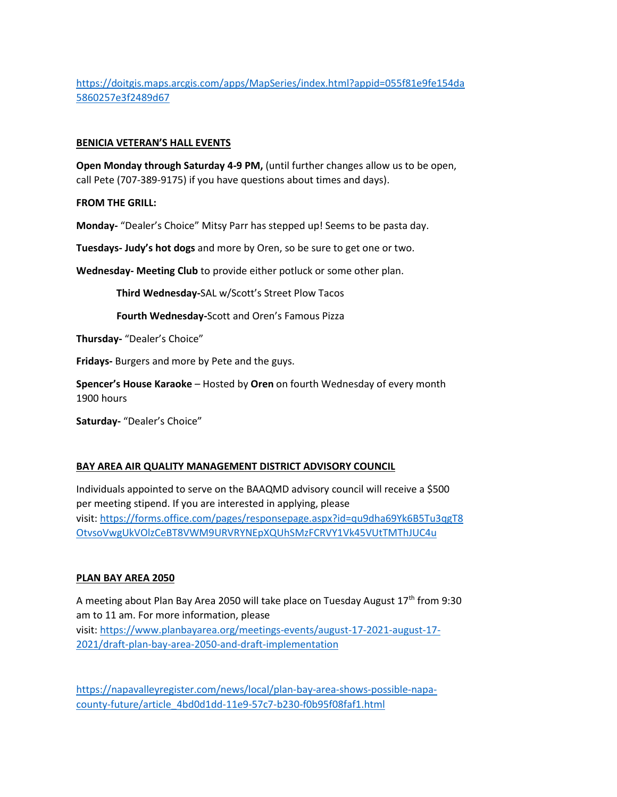[https://doitgis.maps.arcgis.com/apps/MapSeries/index.html?appid=055f81e9fe154da](https://gcc02.safelinks.protection.outlook.com/?url=https%3A%2F%2Fdoitgis.maps.arcgis.com%2Fapps%2FMapSeries%2Findex.html%3Fappid%3D055f81e9fe154da5860257e3f2489d67&data=04%7C01%7C%7Cd9954ca4ccba427b780708d9592060ff%7C5e7f20ace5f14f838c3bce44b8486421%7C0%7C0%7C637638817858516665%7CUnknown%7CTWFpbGZsb3d8eyJWIjoiMC4wLjAwMDAiLCJQIjoiV2luMzIiLCJBTiI6Ik1haWwiLCJXVCI6Mn0%3D%7C1000&sdata=8xjejsJx0P4IZxon7SjtyKDxBqVr7MeHOYpG%2B53GSGQ%3D&reserved=0) [5860257e3f2489d67](https://gcc02.safelinks.protection.outlook.com/?url=https%3A%2F%2Fdoitgis.maps.arcgis.com%2Fapps%2FMapSeries%2Findex.html%3Fappid%3D055f81e9fe154da5860257e3f2489d67&data=04%7C01%7C%7Cd9954ca4ccba427b780708d9592060ff%7C5e7f20ace5f14f838c3bce44b8486421%7C0%7C0%7C637638817858516665%7CUnknown%7CTWFpbGZsb3d8eyJWIjoiMC4wLjAwMDAiLCJQIjoiV2luMzIiLCJBTiI6Ik1haWwiLCJXVCI6Mn0%3D%7C1000&sdata=8xjejsJx0P4IZxon7SjtyKDxBqVr7MeHOYpG%2B53GSGQ%3D&reserved=0)

#### **BENICIA VETERAN'S HALL EVENTS**

**Open Monday through Saturday 4-9 PM,** (until further changes allow us to be open, call Pete (707-389-9175) if you have questions about times and days).

**FROM THE GRILL:**

**Monday-** "Dealer's Choice" Mitsy Parr has stepped up! Seems to be pasta day.

**Tuesdays- Judy's hot dogs** and more by Oren, so be sure to get one or two.

**Wednesday- Meeting Club** to provide either potluck or some other plan.

 **Third Wednesday-**SAL w/Scott's Street Plow Tacos

**Fourth Wednesday-**Scott and Oren's Famous Pizza

**Thursday-** "Dealer's Choice"

**Fridays-** Burgers and more by Pete and the guys.

**Spencer's House Karaoke** – Hosted by **Oren** on fourth Wednesday of every month 1900 hours

**Saturday-** "Dealer's Choice"

### **BAY AREA AIR QUALITY MANAGEMENT DISTRICT ADVISORY COUNCIL**

Individuals appointed to serve on the BAAQMD advisory council will receive a \$500 per meeting stipend. If you are interested in applying, please visit: [https://forms.office.com/pages/responsepage.aspx?id=qu9dha69Yk6B5Tu3qgT8](https://gcc02.safelinks.protection.outlook.com/?url=https%3A%2F%2Fforms.office.com%2Fpages%2Fresponsepage.aspx%3Fid%3Dqu9dha69Yk6B5Tu3qgT8OtvsoVwgUkVOlzCeBT8VWM9URVRYNEpXQUhSMzFCRVY1Vk45VUtTMThJUC4u&data=04%7C01%7C%7Cd9954ca4ccba427b780708d9592060ff%7C5e7f20ace5f14f838c3bce44b8486421%7C0%7C0%7C637638817858516665%7CUnknown%7CTWFpbGZsb3d8eyJWIjoiMC4wLjAwMDAiLCJQIjoiV2luMzIiLCJBTiI6Ik1haWwiLCJXVCI6Mn0%3D%7C1000&sdata=o%2BMJzMmMf6g0Qn6OeTG6PbmrdBDsaP5vKT9fEdVaaeE%3D&reserved=0) [OtvsoVwgUkVOlzCeBT8VWM9URVRYNEpXQUhSMzFCRVY1Vk45VUtTMThJUC4u](https://gcc02.safelinks.protection.outlook.com/?url=https%3A%2F%2Fforms.office.com%2Fpages%2Fresponsepage.aspx%3Fid%3Dqu9dha69Yk6B5Tu3qgT8OtvsoVwgUkVOlzCeBT8VWM9URVRYNEpXQUhSMzFCRVY1Vk45VUtTMThJUC4u&data=04%7C01%7C%7Cd9954ca4ccba427b780708d9592060ff%7C5e7f20ace5f14f838c3bce44b8486421%7C0%7C0%7C637638817858516665%7CUnknown%7CTWFpbGZsb3d8eyJWIjoiMC4wLjAwMDAiLCJQIjoiV2luMzIiLCJBTiI6Ik1haWwiLCJXVCI6Mn0%3D%7C1000&sdata=o%2BMJzMmMf6g0Qn6OeTG6PbmrdBDsaP5vKT9fEdVaaeE%3D&reserved=0)

### **PLAN BAY AREA 2050**

A meeting about Plan Bay Area 2050 will take place on Tuesday August  $17<sup>th</sup>$  from 9:30 am to 11 am. For more information, please visit: [https://www.planbayarea.org/meetings-events/august-17-2021-august-17-](https://gcc02.safelinks.protection.outlook.com/?url=https%3A%2F%2Fwww.planbayarea.org%2Fmeetings-events%2Faugust-17-2021-august-17-2021%2Fdraft-plan-bay-area-2050-and-draft-implementation&data=04%7C01%7C%7Cd9954ca4ccba427b780708d9592060ff%7C5e7f20ace5f14f838c3bce44b8486421%7C0%7C0%7C637638817858526617%7CUnknown%7CTWFpbGZsb3d8eyJWIjoiMC4wLjAwMDAiLCJQIjoiV2luMzIiLCJBTiI6Ik1haWwiLCJXVCI6Mn0%3D%7C1000&sdata=jHxxjJE9%2BJhoWi08fAOrLLZHlzOGuhz0E3hx%2B14Zx2o%3D&reserved=0) [2021/draft-plan-bay-area-2050-and-draft-implementation](https://gcc02.safelinks.protection.outlook.com/?url=https%3A%2F%2Fwww.planbayarea.org%2Fmeetings-events%2Faugust-17-2021-august-17-2021%2Fdraft-plan-bay-area-2050-and-draft-implementation&data=04%7C01%7C%7Cd9954ca4ccba427b780708d9592060ff%7C5e7f20ace5f14f838c3bce44b8486421%7C0%7C0%7C637638817858526617%7CUnknown%7CTWFpbGZsb3d8eyJWIjoiMC4wLjAwMDAiLCJQIjoiV2luMzIiLCJBTiI6Ik1haWwiLCJXVCI6Mn0%3D%7C1000&sdata=jHxxjJE9%2BJhoWi08fAOrLLZHlzOGuhz0E3hx%2B14Zx2o%3D&reserved=0)

[https://napavalleyregister.com/news/local/plan-bay-area-shows-possible-napa](https://gcc02.safelinks.protection.outlook.com/?url=https%3A%2F%2Fnapavalleyregister.com%2Fnews%2Flocal%2Fplan-bay-area-shows-possible-napa-county-future%2Farticle_4bd0d1dd-11e9-57c7-b230-f0b95f08faf1.html&data=04%7C01%7C%7Cd9954ca4ccba427b780708d9592060ff%7C5e7f20ace5f14f838c3bce44b8486421%7C0%7C0%7C637638817858526617%7CUnknown%7CTWFpbGZsb3d8eyJWIjoiMC4wLjAwMDAiLCJQIjoiV2luMzIiLCJBTiI6Ik1haWwiLCJXVCI6Mn0%3D%7C1000&sdata=VB5PG0caYnLzv%2F1w4utVOYAR%2BHPJH1HnSMhl8uh1lfs%3D&reserved=0)[county-future/article\\_4bd0d1dd-11e9-57c7-b230-f0b95f08faf1.html](https://gcc02.safelinks.protection.outlook.com/?url=https%3A%2F%2Fnapavalleyregister.com%2Fnews%2Flocal%2Fplan-bay-area-shows-possible-napa-county-future%2Farticle_4bd0d1dd-11e9-57c7-b230-f0b95f08faf1.html&data=04%7C01%7C%7Cd9954ca4ccba427b780708d9592060ff%7C5e7f20ace5f14f838c3bce44b8486421%7C0%7C0%7C637638817858526617%7CUnknown%7CTWFpbGZsb3d8eyJWIjoiMC4wLjAwMDAiLCJQIjoiV2luMzIiLCJBTiI6Ik1haWwiLCJXVCI6Mn0%3D%7C1000&sdata=VB5PG0caYnLzv%2F1w4utVOYAR%2BHPJH1HnSMhl8uh1lfs%3D&reserved=0)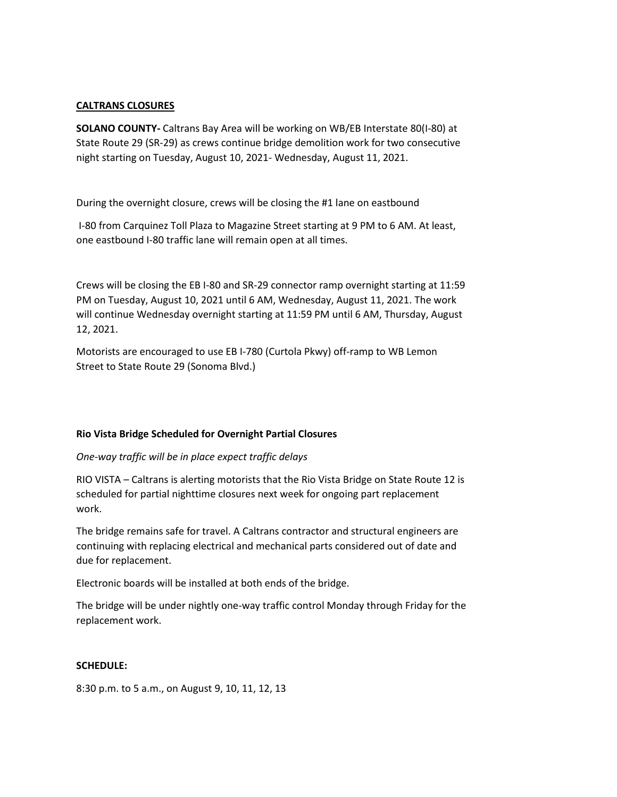### **CALTRANS CLOSURES**

**SOLANO COUNTY-** Caltrans Bay Area will be working on WB/EB Interstate 80(I-80) at State Route 29 (SR-29) as crews continue bridge demolition work for two consecutive night starting on Tuesday, August 10, 2021- Wednesday, August 11, 2021.

During the overnight closure, crews will be closing the #1 lane on eastbound

I-80 from Carquinez Toll Plaza to Magazine Street starting at 9 PM to 6 AM. At least, one eastbound I-80 traffic lane will remain open at all times.

Crews will be closing the EB I-80 and SR-29 connector ramp overnight starting at 11:59 PM on Tuesday, August 10, 2021 until 6 AM, Wednesday, August 11, 2021. The work will continue Wednesday overnight starting at 11:59 PM until 6 AM, Thursday, August 12, 2021.

Motorists are encouraged to use EB I-780 (Curtola Pkwy) off-ramp to WB Lemon Street to State Route 29 (Sonoma Blvd.)

### **Rio Vista Bridge Scheduled for Overnight Partial Closures**

#### *One-way traffic will be in place expect traffic delays*

RIO VISTA – Caltrans is alerting motorists that the Rio Vista Bridge on State Route 12 is scheduled for partial nighttime closures next week for ongoing part replacement work.

The bridge remains safe for travel. A Caltrans contractor and structural engineers are continuing with replacing electrical and mechanical parts considered out of date and due for replacement.

Electronic boards will be installed at both ends of the bridge.

The bridge will be under nightly one-way traffic control Monday through Friday for the replacement work.

#### **SCHEDULE:**

8:30 p.m. to 5 a.m., on August 9, 10, 11, 12, 13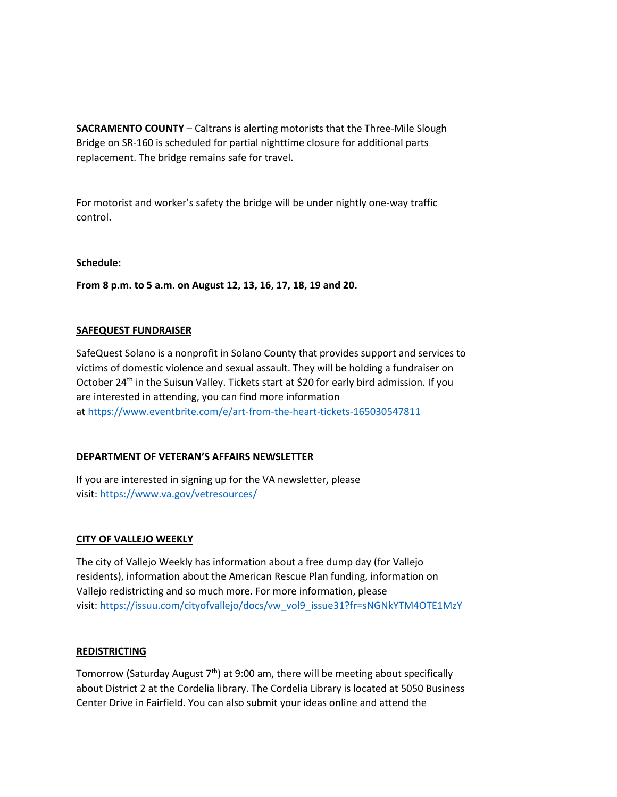**SACRAMENTO COUNTY** – Caltrans is alerting motorists that the Three-Mile Slough Bridge on SR-160 is scheduled for partial nighttime closure for additional parts replacement. The bridge remains safe for travel.

For motorist and worker's safety the bridge will be under nightly one-way traffic control.

### **Schedule:**

**From 8 p.m. to 5 a.m. on August 12, 13, 16, 17, 18, 19 and 20.**

### **SAFEQUEST FUNDRAISER**

SafeQuest Solano is a nonprofit in Solano County that provides support and services to victims of domestic violence and sexual assault. They will be holding a fundraiser on October 24<sup>th</sup> in the Suisun Valley. Tickets start at \$20 for early bird admission. If you are interested in attending, you can find more information at [https://www.eventbrite.com/e/art-from-the-heart-tickets-165030547811](https://gcc02.safelinks.protection.outlook.com/?url=https%3A%2F%2Fwww.eventbrite.com%2Fe%2Fart-from-the-heart-tickets-165030547811&data=04%7C01%7C%7Cd9954ca4ccba427b780708d9592060ff%7C5e7f20ace5f14f838c3bce44b8486421%7C0%7C0%7C637638817858526617%7CUnknown%7CTWFpbGZsb3d8eyJWIjoiMC4wLjAwMDAiLCJQIjoiV2luMzIiLCJBTiI6Ik1haWwiLCJXVCI6Mn0%3D%7C1000&sdata=OGBLAEMxaacUEA3znllEUjAldJu9UfNJI30h7U2Wqb8%3D&reserved=0)

## **DEPARTMENT OF VETERAN'S AFFAIRS NEWSLETTER**

If you are interested in signing up for the VA newsletter, please visit: [https://www.va.gov/vetresources/](https://gcc02.safelinks.protection.outlook.com/?url=https%3A%2F%2Fwww.va.gov%2Fvetresources%2F&data=04%7C01%7C%7Cd9954ca4ccba427b780708d9592060ff%7C5e7f20ace5f14f838c3bce44b8486421%7C0%7C0%7C637638817858536571%7CUnknown%7CTWFpbGZsb3d8eyJWIjoiMC4wLjAwMDAiLCJQIjoiV2luMzIiLCJBTiI6Ik1haWwiLCJXVCI6Mn0%3D%7C1000&sdata=0FwdlmpEn1yO6iHu0s7cfWWDpHhoa387aRsVD%2Fn1ThY%3D&reserved=0)

### **CITY OF VALLEJO WEEKLY**

The city of Vallejo Weekly has information about a free dump day (for Vallejo residents), information about the American Rescue Plan funding, information on Vallejo redistricting and so much more. For more information, please visit: [https://issuu.com/cityofvallejo/docs/vw\\_vol9\\_issue31?fr=sNGNkYTM4OTE1MzY](https://gcc02.safelinks.protection.outlook.com/?url=https%3A%2F%2Fissuu.com%2Fcityofvallejo%2Fdocs%2Fvw_vol9_issue31%3Ffr%3DsNGNkYTM4OTE1MzY&data=04%7C01%7C%7Cd9954ca4ccba427b780708d9592060ff%7C5e7f20ace5f14f838c3bce44b8486421%7C0%7C0%7C637638817858536571%7CUnknown%7CTWFpbGZsb3d8eyJWIjoiMC4wLjAwMDAiLCJQIjoiV2luMzIiLCJBTiI6Ik1haWwiLCJXVCI6Mn0%3D%7C1000&sdata=9fSV07TKtoyPKM2r6IkfDhjiJbL%2B%2BhtBx97hdhGvQWE%3D&reserved=0)

### **REDISTRICTING**

Tomorrow (Saturday August  $7<sup>th</sup>$ ) at 9:00 am, there will be meeting about specifically about District 2 at the Cordelia library. The Cordelia Library is located at 5050 Business Center Drive in Fairfield. You can also submit your ideas online and attend the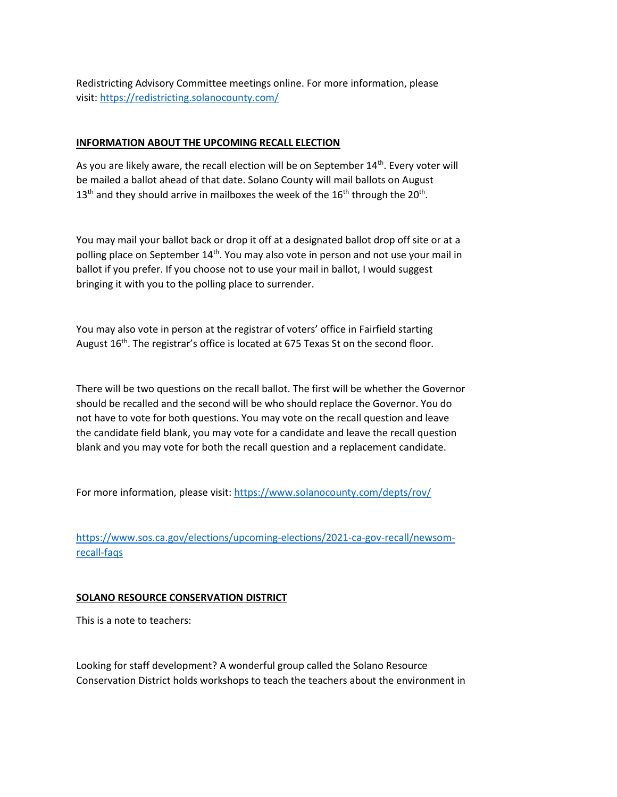Redistricting Advisory Committee meetings online. For more information, please visit: [https://redistricting.solanocounty.com/](https://gcc02.safelinks.protection.outlook.com/?url=https%3A%2F%2Fredistricting.solanocounty.com%2F&data=04%7C01%7C%7Cd9954ca4ccba427b780708d9592060ff%7C5e7f20ace5f14f838c3bce44b8486421%7C0%7C0%7C637638817858546524%7CUnknown%7CTWFpbGZsb3d8eyJWIjoiMC4wLjAwMDAiLCJQIjoiV2luMzIiLCJBTiI6Ik1haWwiLCJXVCI6Mn0%3D%7C1000&sdata=D3Qu9JJX4zmGtPEjWj%2Bwo6HcSL8wLIiUSiyOievgNCs%3D&reserved=0)

#### **INFORMATION ABOUT THE UPCOMING RECALL ELECTION**

As you are likely aware, the recall election will be on September 14<sup>th</sup>. Every voter will be mailed a ballot ahead of that date. Solano County will mail ballots on August  $13<sup>th</sup>$  and they should arrive in mailboxes the week of the  $16<sup>th</sup>$  through the 20<sup>th</sup>.

You may mail your ballot back or drop it off at a designated ballot drop off site or at a polling place on September 14<sup>th</sup>. You may also vote in person and not use your mail in ballot if you prefer. If you choose not to use your mail in ballot, I would suggest bringing it with you to the polling place to surrender.

You may also vote in person at the registrar of voters' office in Fairfield starting August 16<sup>th</sup>. The registrar's office is located at 675 Texas St on the second floor.

There will be two questions on the recall ballot. The first will be whether the Governor should be recalled and the second will be who should replace the Governor. You do not have to vote for both questions. You may vote on the recall question and leave the candidate field blank, you may vote for a candidate and leave the recall question blank and you may vote for both the recall question and a replacement candidate.

For more information, please visit: [https://www.solanocounty.com/depts/rov/](https://gcc02.safelinks.protection.outlook.com/?url=https%3A%2F%2Fwww.solanocounty.com%2Fdepts%2Frov%2F&data=04%7C01%7C%7Cd9954ca4ccba427b780708d9592060ff%7C5e7f20ace5f14f838c3bce44b8486421%7C0%7C0%7C637638817858546524%7CUnknown%7CTWFpbGZsb3d8eyJWIjoiMC4wLjAwMDAiLCJQIjoiV2luMzIiLCJBTiI6Ik1haWwiLCJXVCI6Mn0%3D%7C1000&sdata=xs5c7IYpCt0vwIYOMWGekU6n6ZSSbtMe3aUprmwlnYs%3D&reserved=0)

[https://www.sos.ca.gov/elections/upcoming-elections/2021-ca-gov-recall/newsom](https://gcc02.safelinks.protection.outlook.com/?url=https%3A%2F%2Fwww.sos.ca.gov%2Felections%2Fupcoming-elections%2F2021-ca-gov-recall%2Fnewsom-recall-faqs&data=04%7C01%7C%7Cd9954ca4ccba427b780708d9592060ff%7C5e7f20ace5f14f838c3bce44b8486421%7C0%7C0%7C637638817858556480%7CUnknown%7CTWFpbGZsb3d8eyJWIjoiMC4wLjAwMDAiLCJQIjoiV2luMzIiLCJBTiI6Ik1haWwiLCJXVCI6Mn0%3D%7C1000&sdata=SPZlI8lROkbxu8gXWswy5ZaHrAg%2BQSDl9aHXda2T%2BJ0%3D&reserved=0)[recall-faqs](https://gcc02.safelinks.protection.outlook.com/?url=https%3A%2F%2Fwww.sos.ca.gov%2Felections%2Fupcoming-elections%2F2021-ca-gov-recall%2Fnewsom-recall-faqs&data=04%7C01%7C%7Cd9954ca4ccba427b780708d9592060ff%7C5e7f20ace5f14f838c3bce44b8486421%7C0%7C0%7C637638817858556480%7CUnknown%7CTWFpbGZsb3d8eyJWIjoiMC4wLjAwMDAiLCJQIjoiV2luMzIiLCJBTiI6Ik1haWwiLCJXVCI6Mn0%3D%7C1000&sdata=SPZlI8lROkbxu8gXWswy5ZaHrAg%2BQSDl9aHXda2T%2BJ0%3D&reserved=0)

### **SOLANO RESOURCE CONSERVATION DISTRICT**

This is a note to teachers:

Looking for staff development? A wonderful group called the Solano Resource Conservation District holds workshops to teach the teachers about the environment in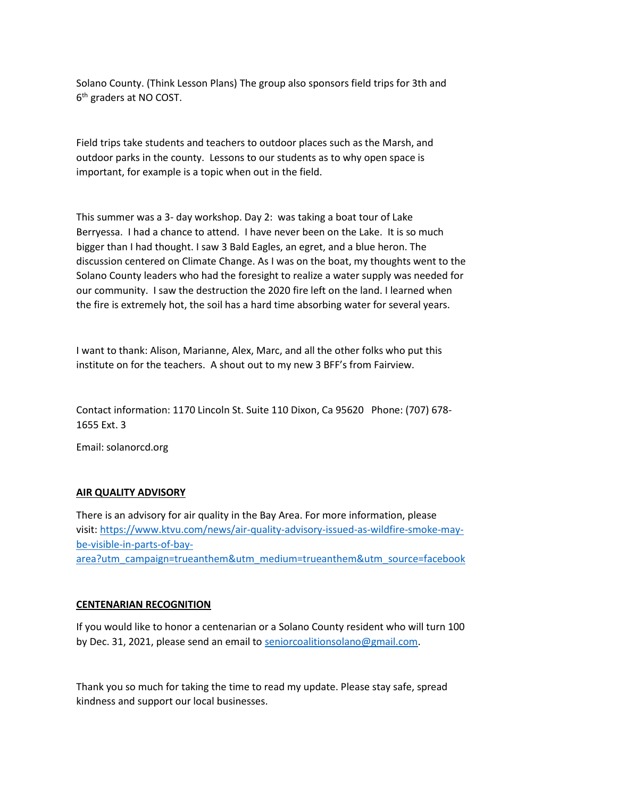Solano County. (Think Lesson Plans) The group also sponsors field trips for 3th and 6<sup>th</sup> graders at NO COST.

Field trips take students and teachers to outdoor places such as the Marsh, and outdoor parks in the county. Lessons to our students as to why open space is important, for example is a topic when out in the field.

This summer was a 3- day workshop. Day 2: was taking a boat tour of Lake Berryessa. I had a chance to attend. I have never been on the Lake. It is so much bigger than I had thought. I saw 3 Bald Eagles, an egret, and a blue heron. The discussion centered on Climate Change. As I was on the boat, my thoughts went to the Solano County leaders who had the foresight to realize a water supply was needed for our community. I saw the destruction the 2020 fire left on the land. I learned when the fire is extremely hot, the soil has a hard time absorbing water for several years.

I want to thank: Alison, Marianne, Alex, Marc, and all the other folks who put this institute on for the teachers. A shout out to my new 3 BFF's from Fairview.

Contact information: 1170 Lincoln St. Suite 110 Dixon, Ca 95620 Phone: (707) 678- 1655 Ext. 3

Email: solanorcd.org

### **AIR QUALITY ADVISORY**

There is an advisory for air quality in the Bay Area. For more information, please visit: [https://www.ktvu.com/news/air-quality-advisory-issued-as-wildfire-smoke-may](https://gcc02.safelinks.protection.outlook.com/?url=https%3A%2F%2Fwww.ktvu.com%2Fnews%2Fair-quality-advisory-issued-as-wildfire-smoke-may-be-visible-in-parts-of-bay-area%3Futm_campaign%3Dtrueanthem%26utm_medium%3Dtrueanthem%26utm_source%3Dfacebook&data=04%7C01%7C%7Cd9954ca4ccba427b780708d9592060ff%7C5e7f20ace5f14f838c3bce44b8486421%7C0%7C0%7C637638817858556480%7CUnknown%7CTWFpbGZsb3d8eyJWIjoiMC4wLjAwMDAiLCJQIjoiV2luMzIiLCJBTiI6Ik1haWwiLCJXVCI6Mn0%3D%7C1000&sdata=XerXlgbtTjFIWxNjf189RmiJ0RJamNG9I6lEYygIJnA%3D&reserved=0)[be-visible-in-parts-of-bay](https://gcc02.safelinks.protection.outlook.com/?url=https%3A%2F%2Fwww.ktvu.com%2Fnews%2Fair-quality-advisory-issued-as-wildfire-smoke-may-be-visible-in-parts-of-bay-area%3Futm_campaign%3Dtrueanthem%26utm_medium%3Dtrueanthem%26utm_source%3Dfacebook&data=04%7C01%7C%7Cd9954ca4ccba427b780708d9592060ff%7C5e7f20ace5f14f838c3bce44b8486421%7C0%7C0%7C637638817858556480%7CUnknown%7CTWFpbGZsb3d8eyJWIjoiMC4wLjAwMDAiLCJQIjoiV2luMzIiLCJBTiI6Ik1haWwiLCJXVCI6Mn0%3D%7C1000&sdata=XerXlgbtTjFIWxNjf189RmiJ0RJamNG9I6lEYygIJnA%3D&reserved=0)[area?utm\\_campaign=trueanthem&utm\\_medium=trueanthem&utm\\_source=facebook](https://gcc02.safelinks.protection.outlook.com/?url=https%3A%2F%2Fwww.ktvu.com%2Fnews%2Fair-quality-advisory-issued-as-wildfire-smoke-may-be-visible-in-parts-of-bay-area%3Futm_campaign%3Dtrueanthem%26utm_medium%3Dtrueanthem%26utm_source%3Dfacebook&data=04%7C01%7C%7Cd9954ca4ccba427b780708d9592060ff%7C5e7f20ace5f14f838c3bce44b8486421%7C0%7C0%7C637638817858556480%7CUnknown%7CTWFpbGZsb3d8eyJWIjoiMC4wLjAwMDAiLCJQIjoiV2luMzIiLCJBTiI6Ik1haWwiLCJXVCI6Mn0%3D%7C1000&sdata=XerXlgbtTjFIWxNjf189RmiJ0RJamNG9I6lEYygIJnA%3D&reserved=0)

#### **CENTENARIAN RECOGNITION**

If you would like to honor a centenarian or a Solano County resident who will turn 100 by Dec. 31, 2021, please send an email to [seniorcoalitionsolano@gmail.com.](mailto:seniorcoalitionsolano@gmail.com)

Thank you so much for taking the time to read my update. Please stay safe, spread kindness and support our local businesses.